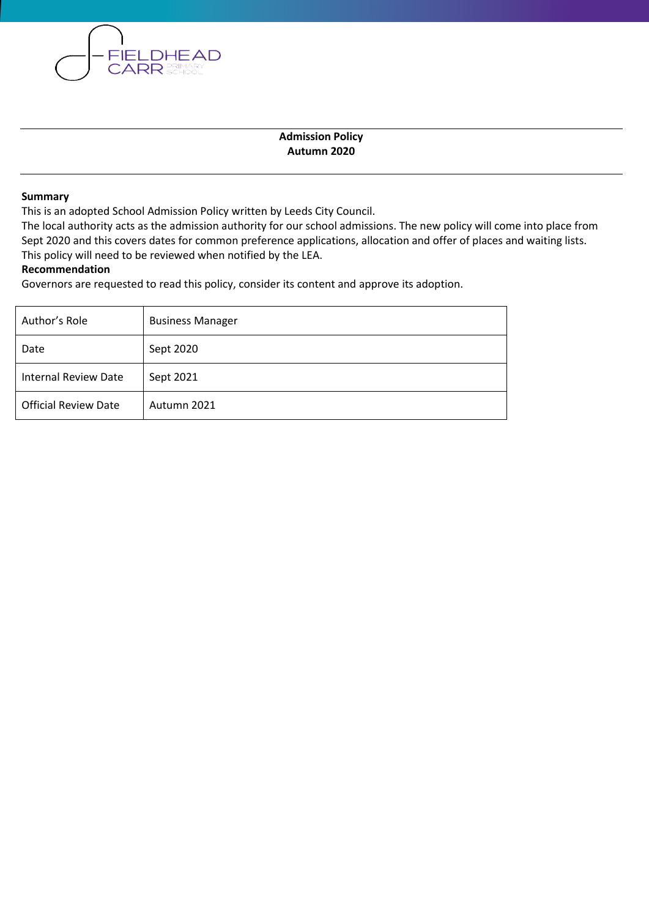

#### **Summary**

This is an adopted School Admission Policy written by Leeds City Council.

**FIELDHEAD CARR** SCHOOL

The local authority acts as the admission authority for our school admissions. The new policy will come into place from Sept 2020 and this covers dates for common preference applications, allocation and offer of places and waiting lists. This policy will need to be reviewed when notified by the LEA.

#### **Recommendation**

Governors are requested to read this policy, consider its content and approve its adoption.

| Author's Role               | <b>Business Manager</b> |
|-----------------------------|-------------------------|
| Date                        | Sept 2020               |
| <b>Internal Review Date</b> | Sept 2021               |
| <b>Official Review Date</b> | Autumn 2021             |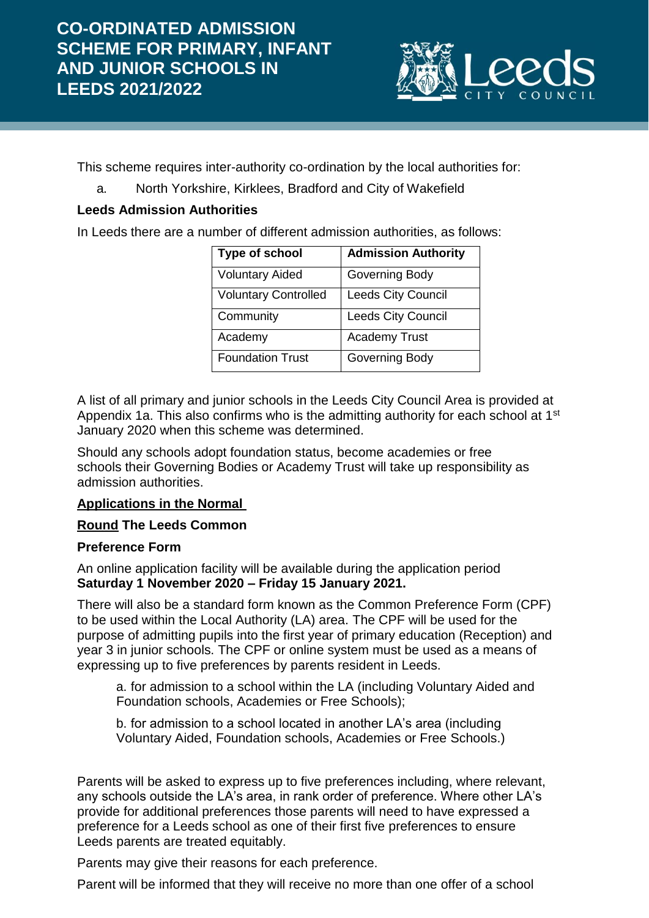

This scheme requires inter-authority co-ordination by the local authorities for:

a. North Yorkshire, Kirklees, Bradford and City of Wakefield

# **Leeds Admission Authorities**

In Leeds there are a number of different admission authorities, as follows:

| Type of school              | <b>Admission Authority</b> |
|-----------------------------|----------------------------|
| <b>Voluntary Aided</b>      | Governing Body             |
| <b>Voluntary Controlled</b> | <b>Leeds City Council</b>  |
| Community                   | <b>Leeds City Council</b>  |
| Academy                     | <b>Academy Trust</b>       |
| <b>Foundation Trust</b>     | <b>Governing Body</b>      |

A list of all primary and junior schools in the Leeds City Council Area is provided at Appendix 1a. This also confirms who is the admitting authority for each school at 1<sup>st</sup> January 2020 when this scheme was determined.

Should any schools adopt foundation status, become academies or free schools their Governing Bodies or Academy Trust will take up responsibility as admission authorities.

# **Applications in the Normal**

# **Round The Leeds Common**

#### **Preference Form**

An online application facility will be available during the application period **Saturday 1 November 2020 – Friday 15 January 2021.**

There will also be a standard form known as the Common Preference Form (CPF) to be used within the Local Authority (LA) area. The CPF will be used for the purpose of admitting pupils into the first year of primary education (Reception) and year 3 in junior schools. The CPF or online system must be used as a means of expressing up to five preferences by parents resident in Leeds.

a. for admission to a school within the LA (including Voluntary Aided and Foundation schools, Academies or Free Schools);

b. for admission to a school located in another LA's area (including Voluntary Aided, Foundation schools, Academies or Free Schools.)

Parents will be asked to express up to five preferences including, where relevant, any schools outside the LA's area, in rank order of preference. Where other LA's provide for additional preferences those parents will need to have expressed a preference for a Leeds school as one of their first five preferences to ensure Leeds parents are treated equitably.

Parents may give their reasons for each preference.

Parent will be informed that they will receive no more than one offer of a school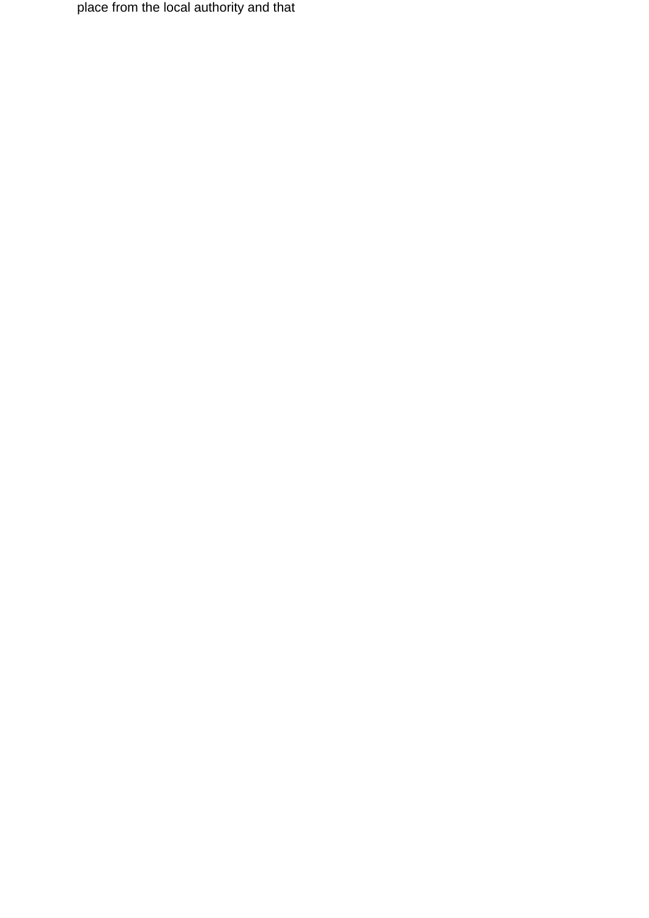place from the local authority and that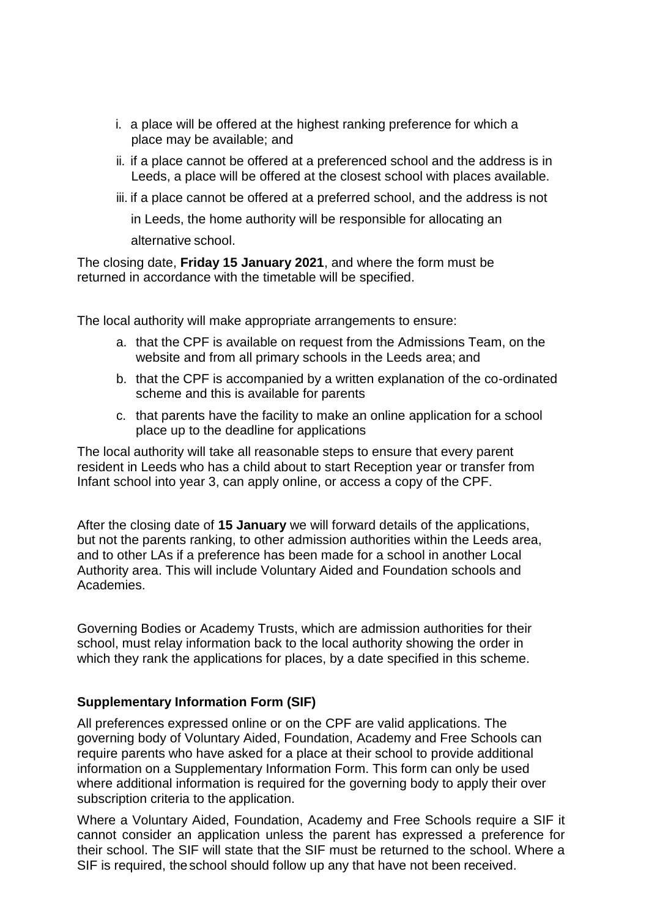- i. a place will be offered at the highest ranking preference for which a place may be available; and
- ii. if a place cannot be offered at a preferenced school and the address is in Leeds, a place will be offered at the closest school with places available.
- iii. if a place cannot be offered at a preferred school, and the address is not in Leeds, the home authority will be responsible for allocating an alternative school.

The closing date, **Friday 15 January 2021**, and where the form must be returned in accordance with the timetable will be specified.

The local authority will make appropriate arrangements to ensure:

- a. that the CPF is available on request from the Admissions Team, on the website and from all primary schools in the Leeds area; and
- b. that the CPF is accompanied by a written explanation of the co-ordinated scheme and this is available for parents
- c. that parents have the facility to make an online application for a school place up to the deadline for applications

The local authority will take all reasonable steps to ensure that every parent resident in Leeds who has a child about to start Reception year or transfer from Infant school into year 3, can apply online, or access a copy of the CPF.

After the closing date of **15 January** we will forward details of the applications, but not the parents ranking, to other admission authorities within the Leeds area, and to other LAs if a preference has been made for a school in another Local Authority area. This will include Voluntary Aided and Foundation schools and Academies.

Governing Bodies or Academy Trusts, which are admission authorities for their school, must relay information back to the local authority showing the order in which they rank the applications for places, by a date specified in this scheme.

#### **Supplementary Information Form (SIF)**

All preferences expressed online or on the CPF are valid applications. The governing body of Voluntary Aided, Foundation, Academy and Free Schools can require parents who have asked for a place at their school to provide additional information on a Supplementary Information Form. This form can only be used where additional information is required for the governing body to apply their over subscription criteria to the application.

Where a Voluntary Aided, Foundation, Academy and Free Schools require a SIF it cannot consider an application unless the parent has expressed a preference for their school. The SIF will state that the SIF must be returned to the school. Where a SIF is required, the school should follow up any that have not been received.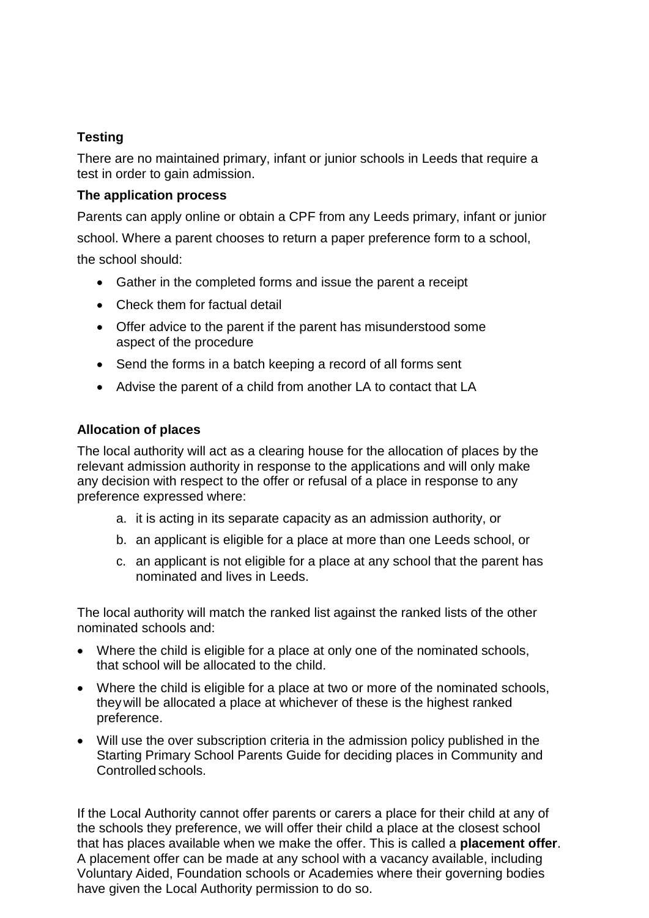# **Testing**

There are no maintained primary, infant or junior schools in Leeds that require a test in order to gain admission.

## **The application process**

Parents can apply online or obtain a CPF from any Leeds primary, infant or junior school. Where a parent chooses to return a paper preference form to a school, the school should:

- Gather in the completed forms and issue the parent a receipt
- Check them for factual detail
- Offer advice to the parent if the parent has misunderstood some aspect of the procedure
- Send the forms in a batch keeping a record of all forms sent
- Advise the parent of a child from another LA to contact that LA

# **Allocation of places**

The local authority will act as a clearing house for the allocation of places by the relevant admission authority in response to the applications and will only make any decision with respect to the offer or refusal of a place in response to any preference expressed where:

- a. it is acting in its separate capacity as an admission authority, or
- b. an applicant is eligible for a place at more than one Leeds school, or
- c. an applicant is not eligible for a place at any school that the parent has nominated and lives in Leeds.

The local authority will match the ranked list against the ranked lists of the other nominated schools and:

- Where the child is eligible for a place at only one of the nominated schools, that school will be allocated to the child.
- Where the child is eligible for a place at two or more of the nominated schools, theywill be allocated a place at whichever of these is the highest ranked preference.
- Will use the over subscription criteria in the admission policy published in the Starting Primary School Parents Guide for deciding places in Community and Controlled schools.

If the Local Authority cannot offer parents or carers a place for their child at any of the schools they preference, we will offer their child a place at the closest school that has places available when we make the offer. This is called a **placement offer**. A placement offer can be made at any school with a vacancy available, including Voluntary Aided, Foundation schools or Academies where their governing bodies have given the Local Authority permission to do so.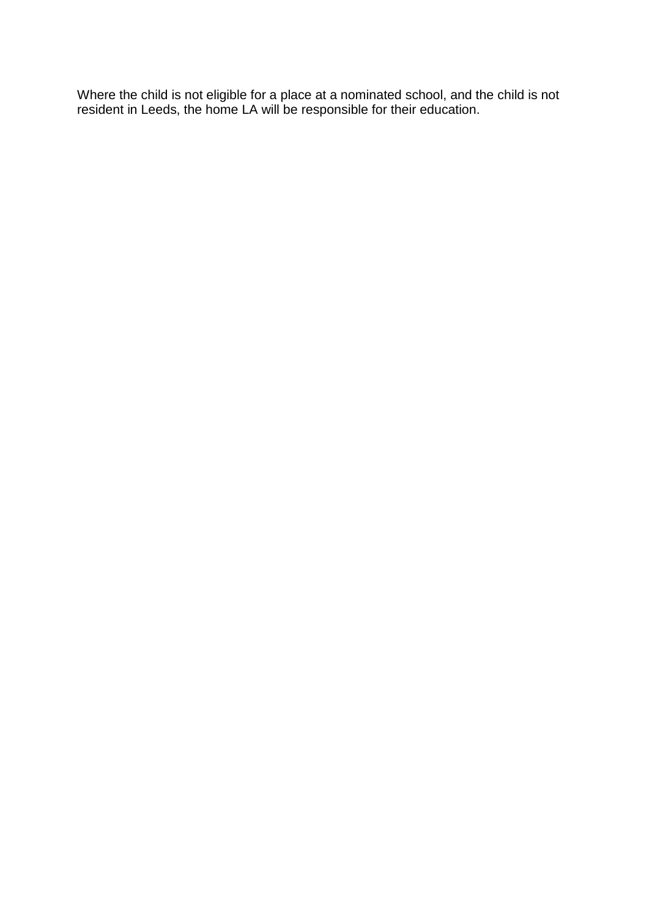Where the child is not eligible for a place at a nominated school, and the child is not resident in Leeds, the home LA will be responsible for their education.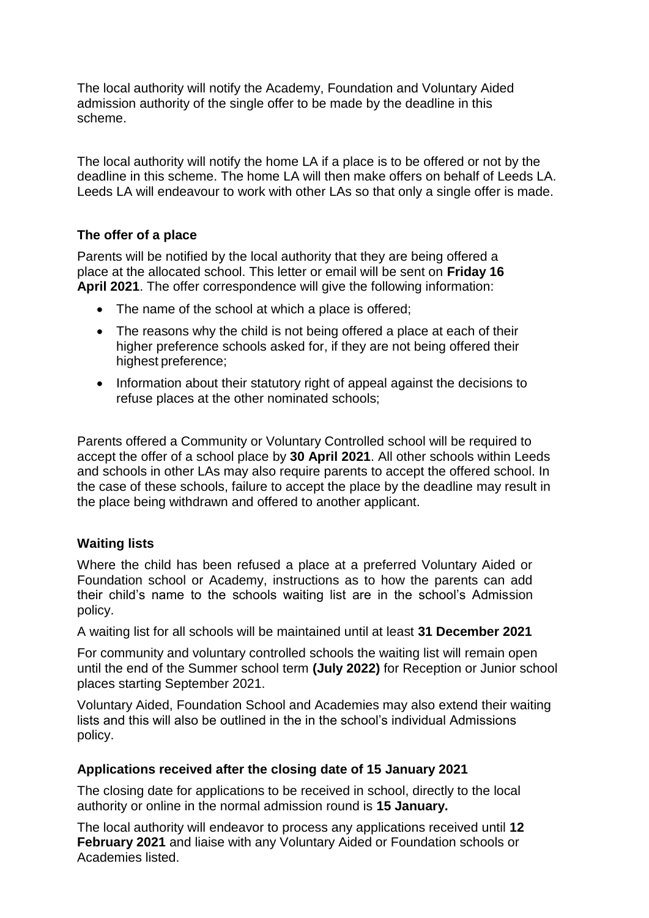The local authority will notify the Academy, Foundation and Voluntary Aided admission authority of the single offer to be made by the deadline in this scheme.

The local authority will notify the home LA if a place is to be offered or not by the deadline in this scheme. The home LA will then make offers on behalf of Leeds LA. Leeds LA will endeavour to work with other LAs so that only a single offer is made.

## **The offer of a place**

Parents will be notified by the local authority that they are being offered a place at the allocated school. This letter or email will be sent on **Friday 16 April 2021**. The offer correspondence will give the following information:

- The name of the school at which a place is offered:
- The reasons why the child is not being offered a place at each of their higher preference schools asked for, if they are not being offered their highest preference;
- Information about their statutory right of appeal against the decisions to refuse places at the other nominated schools;

Parents offered a Community or Voluntary Controlled school will be required to accept the offer of a school place by **30 April 2021**. All other schools within Leeds and schools in other LAs may also require parents to accept the offered school. In the case of these schools, failure to accept the place by the deadline may result in the place being withdrawn and offered to another applicant.

#### **Waiting lists**

Where the child has been refused a place at a preferred Voluntary Aided or Foundation school or Academy, instructions as to how the parents can add their child's name to the schools waiting list are in the school's Admission policy.

A waiting list for all schools will be maintained until at least **31 December 2021**

For community and voluntary controlled schools the waiting list will remain open until the end of the Summer school term **(July 2022)** for Reception or Junior school places starting September 2021.

Voluntary Aided, Foundation School and Academies may also extend their waiting lists and this will also be outlined in the in the school's individual Admissions policy.

#### **Applications received after the closing date of 15 January 2021**

The closing date for applications to be received in school, directly to the local authority or online in the normal admission round is **15 January.**

The local authority will endeavor to process any applications received until **12 February 2021** and liaise with any Voluntary Aided or Foundation schools or Academies listed.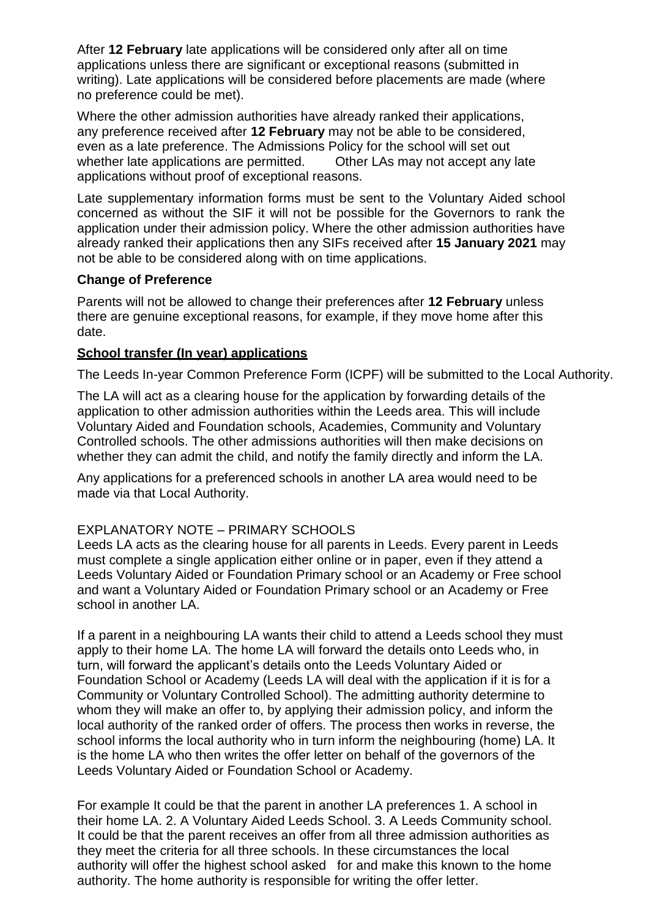After **12 February** late applications will be considered only after all on time applications unless there are significant or exceptional reasons (submitted in writing). Late applications will be considered before placements are made (where no preference could be met).

Where the other admission authorities have already ranked their applications, any preference received after **12 February** may not be able to be considered, even as a late preference. The Admissions Policy for the school will set out whether late applications are permitted. Other LAs may not accept any late applications without proof of exceptional reasons.

Late supplementary information forms must be sent to the Voluntary Aided school concerned as without the SIF it will not be possible for the Governors to rank the application under their admission policy. Where the other admission authorities have already ranked their applications then any SIFs received after **15 January 2021** may not be able to be considered along with on time applications.

## **Change of Preference**

Parents will not be allowed to change their preferences after **12 February** unless there are genuine exceptional reasons, for example, if they move home after this date.

## **School transfer (In year) applications**

The Leeds In-year Common Preference Form (ICPF) will be submitted to the Local Authority.

The LA will act as a clearing house for the application by forwarding details of the application to other admission authorities within the Leeds area. This will include Voluntary Aided and Foundation schools, Academies, Community and Voluntary Controlled schools. The other admissions authorities will then make decisions on whether they can admit the child, and notify the family directly and inform the LA.

Any applications for a preferenced schools in another LA area would need to be made via that Local Authority.

# EXPLANATORY NOTE – PRIMARY SCHOOLS

Leeds LA acts as the clearing house for all parents in Leeds. Every parent in Leeds must complete a single application either online or in paper, even if they attend a Leeds Voluntary Aided or Foundation Primary school or an Academy or Free school and want a Voluntary Aided or Foundation Primary school or an Academy or Free school in another LA.

If a parent in a neighbouring LA wants their child to attend a Leeds school they must apply to their home LA. The home LA will forward the details onto Leeds who, in turn, will forward the applicant's details onto the Leeds Voluntary Aided or Foundation School or Academy (Leeds LA will deal with the application if it is for a Community or Voluntary Controlled School). The admitting authority determine to whom they will make an offer to, by applying their admission policy, and inform the local authority of the ranked order of offers. The process then works in reverse, the school informs the local authority who in turn inform the neighbouring (home) LA. It is the home LA who then writes the offer letter on behalf of the governors of the Leeds Voluntary Aided or Foundation School or Academy.

For example It could be that the parent in another LA preferences 1. A school in their home LA. 2. A Voluntary Aided Leeds School. 3. A Leeds Community school. It could be that the parent receives an offer from all three admission authorities as they meet the criteria for all three schools. In these circumstances the local authority will offer the highest school asked for and make this known to the home authority. The home authority is responsible for writing the offer letter.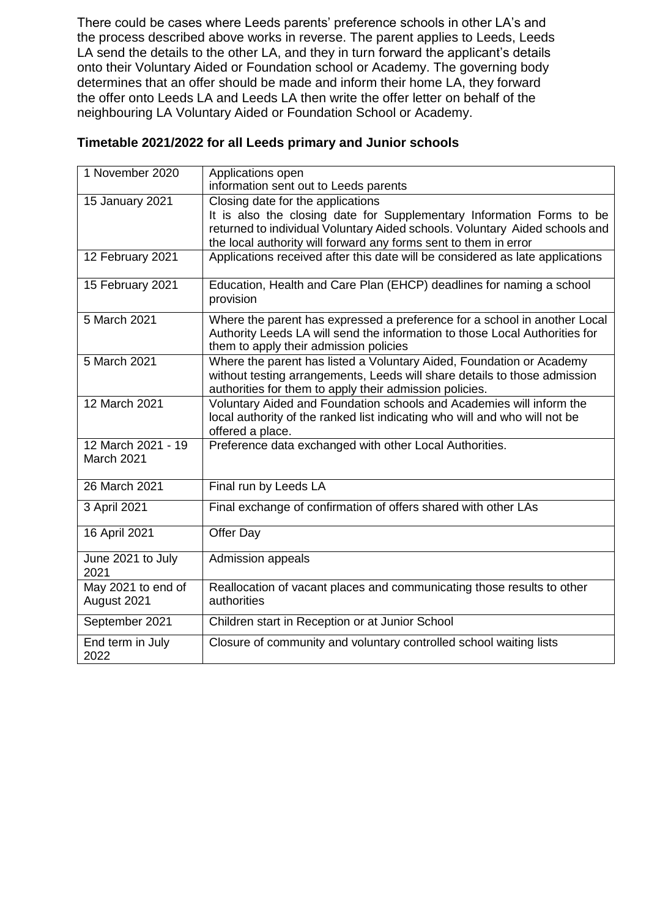There could be cases where Leeds parents' preference schools in other LA's and the process described above works in reverse. The parent applies to Leeds, Leeds LA send the details to the other LA, and they in turn forward the applicant's details onto their Voluntary Aided or Foundation school or Academy. The governing body determines that an offer should be made and inform their home LA, they forward the offer onto Leeds LA and Leeds LA then write the offer letter on behalf of the neighbouring LA Voluntary Aided or Foundation School or Academy.

| Timetable 2021/2022 for all Leeds primary and Junior schools |  |
|--------------------------------------------------------------|--|
|--------------------------------------------------------------|--|

| 1 November 2020                   | Applications open<br>information sent out to Leeds parents                                                                                                                                                                                                    |
|-----------------------------------|---------------------------------------------------------------------------------------------------------------------------------------------------------------------------------------------------------------------------------------------------------------|
| 15 January 2021                   | Closing date for the applications<br>It is also the closing date for Supplementary Information Forms to be<br>returned to individual Voluntary Aided schools. Voluntary Aided schools and<br>the local authority will forward any forms sent to them in error |
| 12 February 2021                  | Applications received after this date will be considered as late applications                                                                                                                                                                                 |
| 15 February 2021                  | Education, Health and Care Plan (EHCP) deadlines for naming a school<br>provision                                                                                                                                                                             |
| 5 March 2021                      | Where the parent has expressed a preference for a school in another Local<br>Authority Leeds LA will send the information to those Local Authorities for<br>them to apply their admission policies                                                            |
| 5 March 2021                      | Where the parent has listed a Voluntary Aided, Foundation or Academy<br>without testing arrangements, Leeds will share details to those admission<br>authorities for them to apply their admission policies.                                                  |
| 12 March 2021                     | Voluntary Aided and Foundation schools and Academies will inform the<br>local authority of the ranked list indicating who will and who will not be<br>offered a place.                                                                                        |
| 12 March 2021 - 19<br>March 2021  | Preference data exchanged with other Local Authorities.                                                                                                                                                                                                       |
| 26 March 2021                     | Final run by Leeds LA                                                                                                                                                                                                                                         |
| 3 April 2021                      | Final exchange of confirmation of offers shared with other LAs                                                                                                                                                                                                |
| 16 April 2021                     | Offer Day                                                                                                                                                                                                                                                     |
| June 2021 to July<br>2021         | Admission appeals                                                                                                                                                                                                                                             |
| May 2021 to end of<br>August 2021 | Reallocation of vacant places and communicating those results to other<br>authorities                                                                                                                                                                         |
| September 2021                    | Children start in Reception or at Junior School                                                                                                                                                                                                               |
| End term in July<br>2022          | Closure of community and voluntary controlled school waiting lists                                                                                                                                                                                            |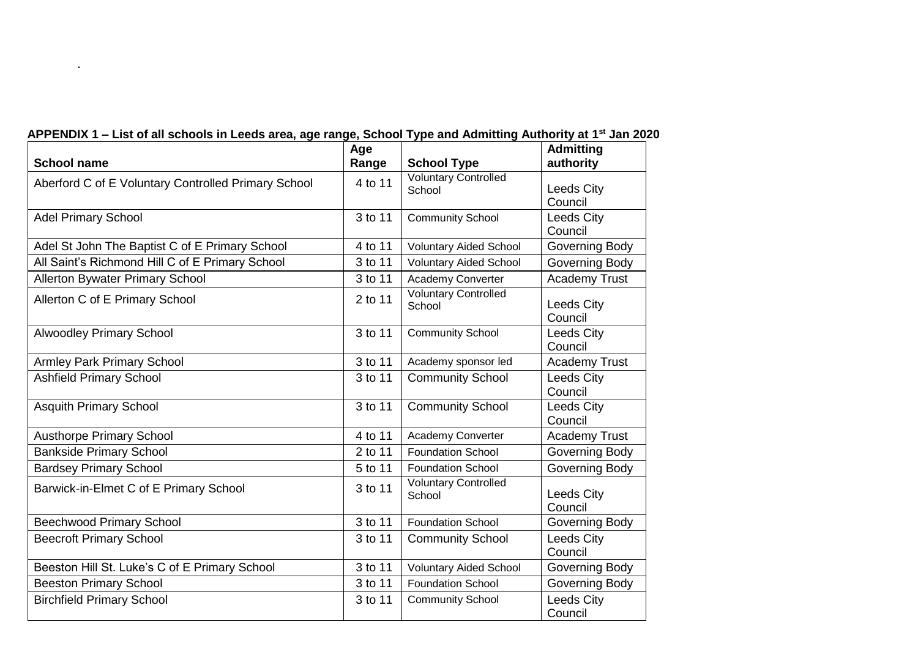| <b>School name</b>                                  | Age<br>Range | <b>School Type</b>                    | <b>Admitting</b><br>authority |
|-----------------------------------------------------|--------------|---------------------------------------|-------------------------------|
| Aberford C of E Voluntary Controlled Primary School | 4 to 11      | <b>Voluntary Controlled</b><br>School | Leeds City<br>Council         |
| <b>Adel Primary School</b>                          | 3 to 11      | <b>Community School</b>               | Leeds City<br>Council         |
| Adel St John The Baptist C of E Primary School      | 4 to 11      | <b>Voluntary Aided School</b>         | Governing Body                |
| All Saint's Richmond Hill C of E Primary School     | 3 to 11      | <b>Voluntary Aided School</b>         | <b>Governing Body</b>         |
| <b>Allerton Bywater Primary School</b>              | 3 to 11      | Academy Converter                     | <b>Academy Trust</b>          |
| Allerton C of E Primary School                      | 2 to 11      | <b>Voluntary Controlled</b><br>School | Leeds City<br>Council         |
| <b>Alwoodley Primary School</b>                     | 3 to 11      | <b>Community School</b>               | Leeds City<br>Council         |
| <b>Armley Park Primary School</b>                   | 3 to 11      | Academy sponsor led                   | <b>Academy Trust</b>          |
| <b>Ashfield Primary School</b>                      | 3 to 11      | <b>Community School</b>               | <b>Leeds City</b><br>Council  |
| <b>Asquith Primary School</b>                       | 3 to 11      | <b>Community School</b>               | Leeds City<br>Council         |
| <b>Austhorpe Primary School</b>                     | 4 to 11      | Academy Converter                     | <b>Academy Trust</b>          |
| <b>Bankside Primary School</b>                      | 2 to 11      | <b>Foundation School</b>              | Governing Body                |
| <b>Bardsey Primary School</b>                       | 5 to 11      | <b>Foundation School</b>              | Governing Body                |
| Barwick-in-Elmet C of E Primary School              | 3 to 11      | <b>Voluntary Controlled</b><br>School | <b>Leeds City</b><br>Council  |
| <b>Beechwood Primary School</b>                     | 3 to 11      | <b>Foundation School</b>              | <b>Governing Body</b>         |
| <b>Beecroft Primary School</b>                      | 3 to 11      | <b>Community School</b>               | Leeds City<br>Council         |
| Beeston Hill St. Luke's C of E Primary School       | 3 to 11      | <b>Voluntary Aided School</b>         | Governing Body                |
| <b>Beeston Primary School</b>                       | 3 to 11      | <b>Foundation School</b>              | Governing Body                |
| <b>Birchfield Primary School</b>                    | 3 to 11      | <b>Community School</b>               | Leeds City<br>Council         |

# **APPENDIX 1 – List of all schools in Leeds area, age range, School Type and Admitting Authority at 1st Jan 2020**

.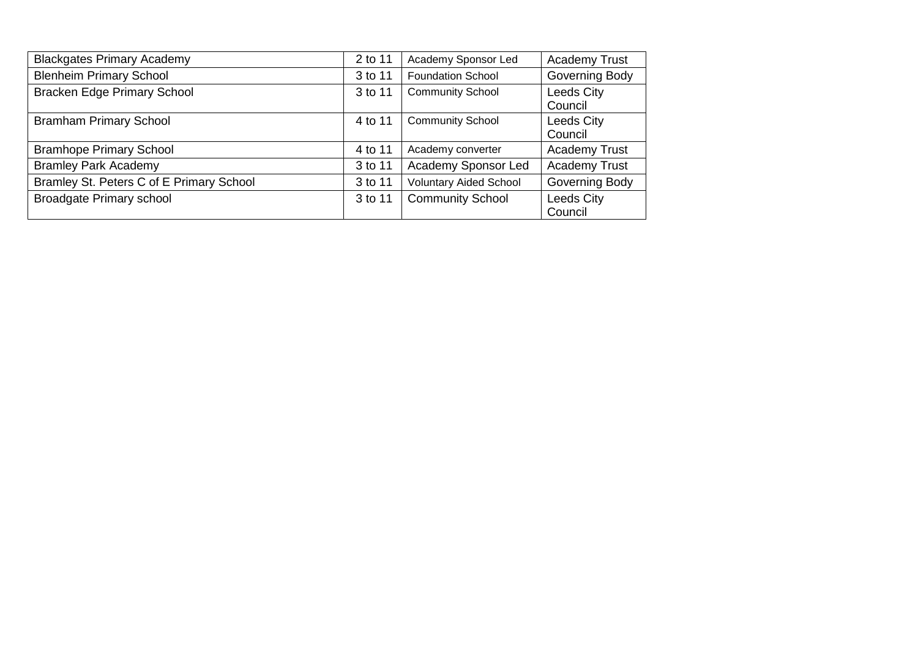| <b>Blackgates Primary Academy</b>        | 2 to 11 | Academy Sponsor Led           | <b>Academy Trust</b>         |
|------------------------------------------|---------|-------------------------------|------------------------------|
| <b>Blenheim Primary School</b>           | 3 to 11 | <b>Foundation School</b>      | Governing Body               |
| <b>Bracken Edge Primary School</b>       | 3 to 11 | <b>Community School</b>       | <b>Leeds City</b><br>Council |
| <b>Bramham Primary School</b>            | 4 to 11 | <b>Community School</b>       | Leeds City<br>Council        |
| <b>Bramhope Primary School</b>           | 4 to 11 | Academy converter             | <b>Academy Trust</b>         |
| <b>Bramley Park Academy</b>              | 3 to 11 | Academy Sponsor Led           | <b>Academy Trust</b>         |
| Bramley St. Peters C of E Primary School | 3 to 11 | <b>Voluntary Aided School</b> | Governing Body               |
| <b>Broadgate Primary school</b>          | 3 to 11 | <b>Community School</b>       | Leeds City<br>Council        |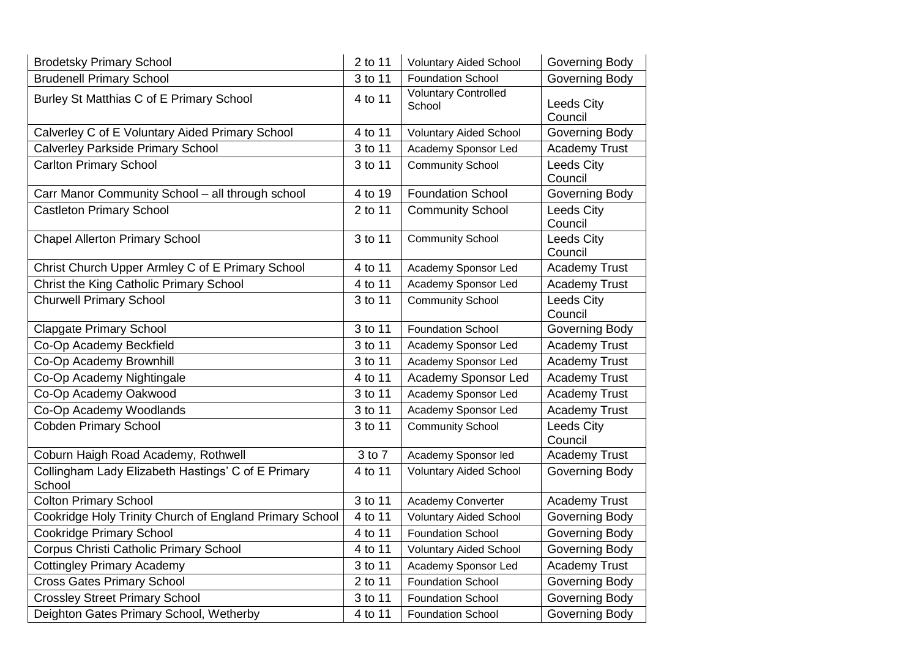| <b>Brodetsky Primary School</b>                              | 2 to 11 | <b>Voluntary Aided School</b>         | Governing Body               |
|--------------------------------------------------------------|---------|---------------------------------------|------------------------------|
| <b>Brudenell Primary School</b>                              | 3 to 11 | <b>Foundation School</b>              | <b>Governing Body</b>        |
| Burley St Matthias C of E Primary School                     | 4 to 11 | <b>Voluntary Controlled</b><br>School | <b>Leeds City</b><br>Council |
| Calverley C of E Voluntary Aided Primary School              | 4 to 11 | <b>Voluntary Aided School</b>         | Governing Body               |
| <b>Calverley Parkside Primary School</b>                     | 3 to 11 | Academy Sponsor Led                   | <b>Academy Trust</b>         |
| <b>Carlton Primary School</b>                                | 3 to 11 | <b>Community School</b>               | Leeds City<br>Council        |
| Carr Manor Community School - all through school             | 4 to 19 | <b>Foundation School</b>              | <b>Governing Body</b>        |
| <b>Castleton Primary School</b>                              | 2 to 11 | <b>Community School</b>               | Leeds City<br>Council        |
| <b>Chapel Allerton Primary School</b>                        | 3 to 11 | <b>Community School</b>               | Leeds City<br>Council        |
| Christ Church Upper Armley C of E Primary School             | 4 to 11 | Academy Sponsor Led                   | <b>Academy Trust</b>         |
| Christ the King Catholic Primary School                      | 4 to 11 | Academy Sponsor Led                   | <b>Academy Trust</b>         |
| <b>Churwell Primary School</b>                               | 3 to 11 | <b>Community School</b>               | <b>Leeds City</b><br>Council |
| <b>Clapgate Primary School</b>                               | 3 to 11 | <b>Foundation School</b>              | Governing Body               |
| Co-Op Academy Beckfield                                      | 3 to 11 | Academy Sponsor Led                   | <b>Academy Trust</b>         |
| Co-Op Academy Brownhill                                      | 3 to 11 | Academy Sponsor Led                   | <b>Academy Trust</b>         |
| Co-Op Academy Nightingale                                    | 4 to 11 | Academy Sponsor Led                   | <b>Academy Trust</b>         |
| Co-Op Academy Oakwood                                        | 3 to 11 | Academy Sponsor Led                   | <b>Academy Trust</b>         |
| Co-Op Academy Woodlands                                      | 3 to 11 | Academy Sponsor Led                   | <b>Academy Trust</b>         |
| <b>Cobden Primary School</b>                                 | 3 to 11 | <b>Community School</b>               | Leeds City<br>Council        |
| Coburn Haigh Road Academy, Rothwell                          | 3 to 7  | Academy Sponsor led                   | <b>Academy Trust</b>         |
| Collingham Lady Elizabeth Hastings' C of E Primary<br>School | 4 to 11 | <b>Voluntary Aided School</b>         | Governing Body               |
| <b>Colton Primary School</b>                                 | 3 to 11 | Academy Converter                     | Academy Trust                |
| Cookridge Holy Trinity Church of England Primary School      | 4 to 11 | <b>Voluntary Aided School</b>         | Governing Body               |
| <b>Cookridge Primary School</b>                              | 4 to 11 | <b>Foundation School</b>              | Governing Body               |
| Corpus Christi Catholic Primary School                       | 4 to 11 | <b>Voluntary Aided School</b>         | Governing Body               |
| <b>Cottingley Primary Academy</b>                            | 3 to 11 | Academy Sponsor Led                   | <b>Academy Trust</b>         |
| <b>Cross Gates Primary School</b>                            | 2 to 11 | <b>Foundation School</b>              | Governing Body               |
| <b>Crossley Street Primary School</b>                        | 3 to 11 | <b>Foundation School</b>              | Governing Body               |
| Deighton Gates Primary School, Wetherby                      | 4 to 11 | <b>Foundation School</b>              | Governing Body               |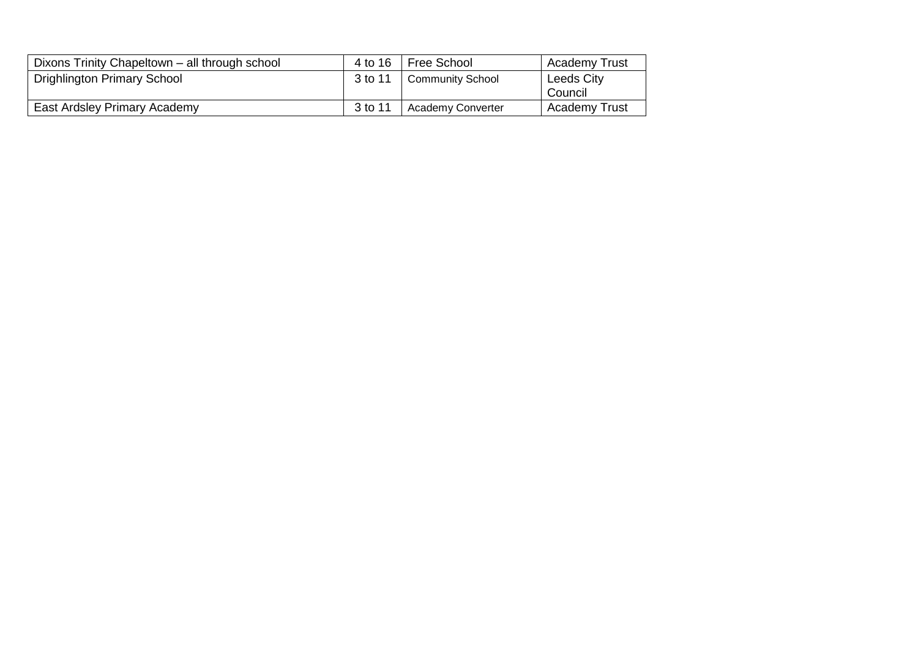| Dixons Trinity Chapeltown - all through school | 4 to 16 | Free School              | <b>Academy Trust</b>  |
|------------------------------------------------|---------|--------------------------|-----------------------|
| Drighlington Primary School                    | 3 to 11 | Community School         | Leeds City<br>Council |
| East Ardsley Primary Academy                   | 3 to 11 | <b>Academy Converter</b> | <b>Academy Trust</b>  |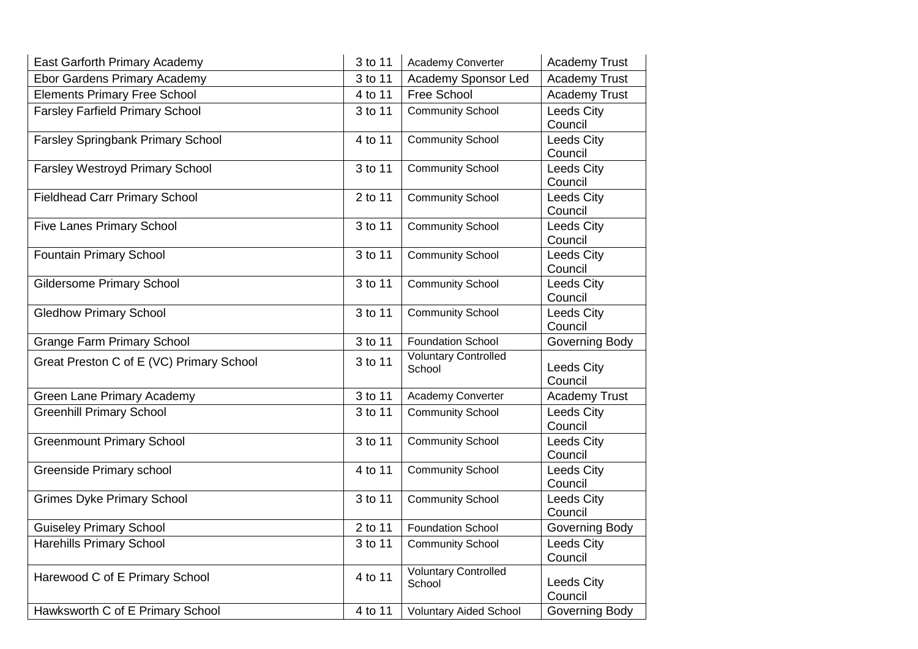| East Garforth Primary Academy            | 3 to 11 | Academy Converter                     | <b>Academy Trust</b>         |
|------------------------------------------|---------|---------------------------------------|------------------------------|
| <b>Ebor Gardens Primary Academy</b>      | 3 to 11 | Academy Sponsor Led                   | <b>Academy Trust</b>         |
| <b>Elements Primary Free School</b>      | 4 to 11 | Free School                           | <b>Academy Trust</b>         |
| Farsley Farfield Primary School          | 3 to 11 | <b>Community School</b>               | Leeds City<br>Council        |
| Farsley Springbank Primary School        | 4 to 11 | <b>Community School</b>               | Leeds City<br>Council        |
| <b>Farsley Westroyd Primary School</b>   | 3 to 11 | <b>Community School</b>               | Leeds City<br>Council        |
| <b>Fieldhead Carr Primary School</b>     | 2 to 11 | <b>Community School</b>               | <b>Leeds City</b><br>Council |
| <b>Five Lanes Primary School</b>         | 3 to 11 | <b>Community School</b>               | Leeds City<br>Council        |
| <b>Fountain Primary School</b>           | 3 to 11 | <b>Community School</b>               | <b>Leeds City</b><br>Council |
| <b>Gildersome Primary School</b>         | 3 to 11 | <b>Community School</b>               | Leeds City<br>Council        |
| <b>Gledhow Primary School</b>            | 3 to 11 | <b>Community School</b>               | Leeds City<br>Council        |
| <b>Grange Farm Primary School</b>        | 3 to 11 | <b>Foundation School</b>              | Governing Body               |
| Great Preston C of E (VC) Primary School | 3 to 11 | <b>Voluntary Controlled</b><br>School | <b>Leeds City</b><br>Council |
| <b>Green Lane Primary Academy</b>        | 3 to 11 | Academy Converter                     | <b>Academy Trust</b>         |
| <b>Greenhill Primary School</b>          | 3 to 11 | <b>Community School</b>               | <b>Leeds City</b><br>Council |
| <b>Greenmount Primary School</b>         | 3 to 11 | <b>Community School</b>               | Leeds City<br>Council        |
| <b>Greenside Primary school</b>          | 4 to 11 | <b>Community School</b>               | Leeds City<br>Council        |
| <b>Grimes Dyke Primary School</b>        | 3 to 11 | <b>Community School</b>               | Leeds City<br>Council        |
| <b>Guiseley Primary School</b>           | 2 to 11 | <b>Foundation School</b>              | Governing Body               |
| <b>Harehills Primary School</b>          | 3 to 11 | <b>Community School</b>               | <b>Leeds City</b><br>Council |
| Harewood C of E Primary School           | 4 to 11 | <b>Voluntary Controlled</b><br>School | Leeds City<br>Council        |
| Hawksworth C of E Primary School         | 4 to 11 | <b>Voluntary Aided School</b>         | Governing Body               |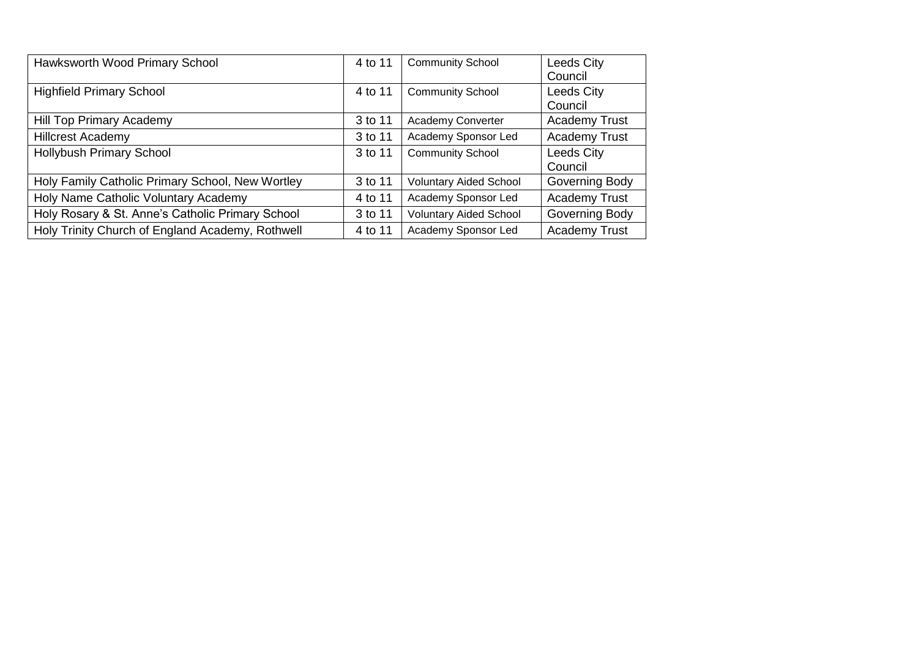| Hawksworth Wood Primary School                   | 4 to 11 | <b>Community School</b>       | <b>Leeds City</b><br>Council |
|--------------------------------------------------|---------|-------------------------------|------------------------------|
| <b>Highfield Primary School</b>                  | 4 to 11 | <b>Community School</b>       | <b>Leeds City</b><br>Council |
| Hill Top Primary Academy                         | 3 to 11 | Academy Converter             | <b>Academy Trust</b>         |
| <b>Hillcrest Academy</b>                         | 3 to 11 | Academy Sponsor Led           | <b>Academy Trust</b>         |
| <b>Hollybush Primary School</b>                  | 3 to 11 | <b>Community School</b>       | <b>Leeds City</b><br>Council |
| Holy Family Catholic Primary School, New Wortley | 3 to 11 | <b>Voluntary Aided School</b> | Governing Body               |
| Holy Name Catholic Voluntary Academy             | 4 to 11 | Academy Sponsor Led           | <b>Academy Trust</b>         |
| Holy Rosary & St. Anne's Catholic Primary School | 3 to 11 | <b>Voluntary Aided School</b> | Governing Body               |
| Holy Trinity Church of England Academy, Rothwell | 4 to 11 | Academy Sponsor Led           | <b>Academy Trust</b>         |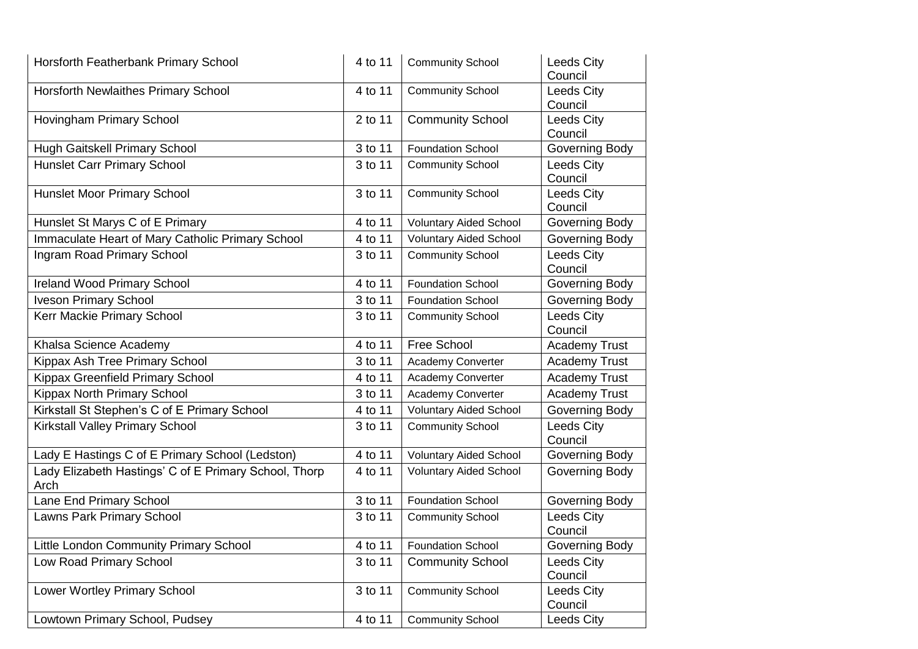| Horsforth Featherbank Primary School                          | 4 to 11 | <b>Community School</b>       | <b>Leeds City</b><br>Council |
|---------------------------------------------------------------|---------|-------------------------------|------------------------------|
| Horsforth Newlaithes Primary School                           | 4 to 11 | <b>Community School</b>       | <b>Leeds City</b><br>Council |
| Hovingham Primary School                                      | 2 to 11 | <b>Community School</b>       | <b>Leeds City</b><br>Council |
| Hugh Gaitskell Primary School                                 | 3 to 11 | <b>Foundation School</b>      | Governing Body               |
| <b>Hunslet Carr Primary School</b>                            | 3 to 11 | <b>Community School</b>       | Leeds City<br>Council        |
| <b>Hunslet Moor Primary School</b>                            | 3 to 11 | <b>Community School</b>       | Leeds City<br>Council        |
| Hunslet St Marys C of E Primary                               | 4 to 11 | <b>Voluntary Aided School</b> | Governing Body               |
| Immaculate Heart of Mary Catholic Primary School              | 4 to 11 | <b>Voluntary Aided School</b> | <b>Governing Body</b>        |
| Ingram Road Primary School                                    | 3 to 11 | <b>Community School</b>       | Leeds City<br>Council        |
| <b>Ireland Wood Primary School</b>                            | 4 to 11 | <b>Foundation School</b>      | Governing Body               |
| <b>Iveson Primary School</b>                                  | 3 to 11 | <b>Foundation School</b>      | Governing Body               |
| Kerr Mackie Primary School                                    | 3 to 11 | <b>Community School</b>       | Leeds City<br>Council        |
| Khalsa Science Academy                                        | 4 to 11 | Free School                   | <b>Academy Trust</b>         |
| Kippax Ash Tree Primary School                                | 3 to 11 | Academy Converter             | <b>Academy Trust</b>         |
| Kippax Greenfield Primary School                              | 4 to 11 | Academy Converter             | <b>Academy Trust</b>         |
| Kippax North Primary School                                   | 3 to 11 | Academy Converter             | <b>Academy Trust</b>         |
| Kirkstall St Stephen's C of E Primary School                  | 4 to 11 | <b>Voluntary Aided School</b> | <b>Governing Body</b>        |
| Kirkstall Valley Primary School                               | 3 to 11 | <b>Community School</b>       | Leeds City<br>Council        |
| Lady E Hastings C of E Primary School (Ledston)               | 4 to 11 | <b>Voluntary Aided School</b> | Governing Body               |
| Lady Elizabeth Hastings' C of E Primary School, Thorp<br>Arch | 4 to 11 | <b>Voluntary Aided School</b> | <b>Governing Body</b>        |
| Lane End Primary School                                       | 3 to 11 | <b>Foundation School</b>      | Governing Body               |
| Lawns Park Primary School                                     | 3 to 11 | <b>Community School</b>       | Leeds City<br>Council        |
| Little London Community Primary School                        | 4 to 11 | <b>Foundation School</b>      | Governing Body               |
| Low Road Primary School                                       | 3 to 11 | <b>Community School</b>       | Leeds City<br>Council        |
| Lower Wortley Primary School                                  | 3 to 11 | <b>Community School</b>       | Leeds City<br>Council        |
| Lowtown Primary School, Pudsey                                | 4 to 11 | <b>Community School</b>       | Leeds City                   |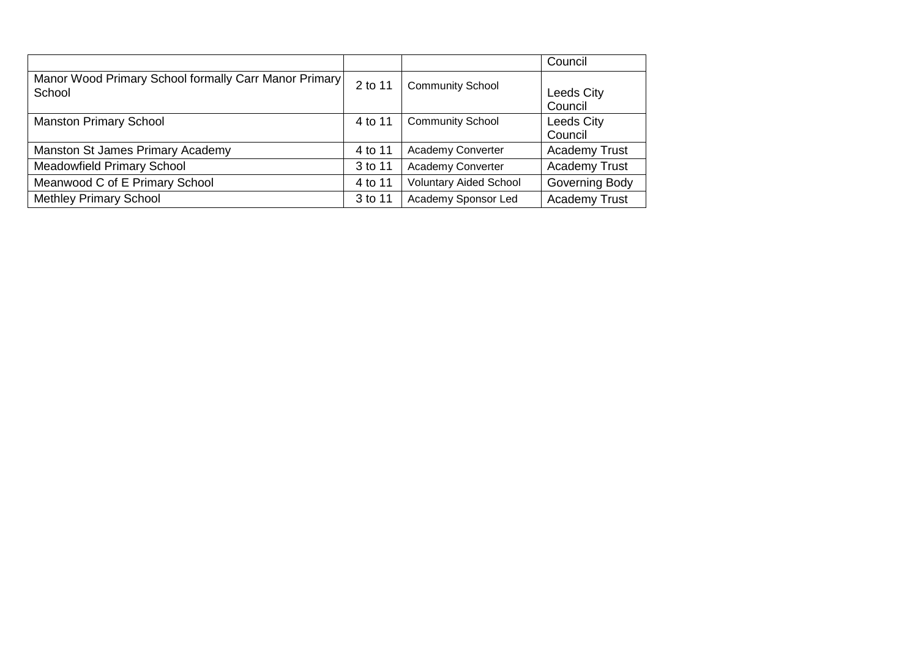|                                                                 |         |                               | Council                      |
|-----------------------------------------------------------------|---------|-------------------------------|------------------------------|
| Manor Wood Primary School formally Carr Manor Primary<br>School | 2 to 11 | <b>Community School</b>       | <b>Leeds City</b><br>Council |
| <b>Manston Primary School</b>                                   | 4 to 11 | <b>Community School</b>       | Leeds City<br>Council        |
| Manston St James Primary Academy                                | 4 to 11 | <b>Academy Converter</b>      | <b>Academy Trust</b>         |
| <b>Meadowfield Primary School</b>                               | 3 to 11 | Academy Converter             | <b>Academy Trust</b>         |
| Meanwood C of E Primary School                                  | 4 to 11 | <b>Voluntary Aided School</b> | Governing Body               |
| <b>Methley Primary School</b>                                   | 3 to 11 | Academy Sponsor Led           | <b>Academy Trust</b>         |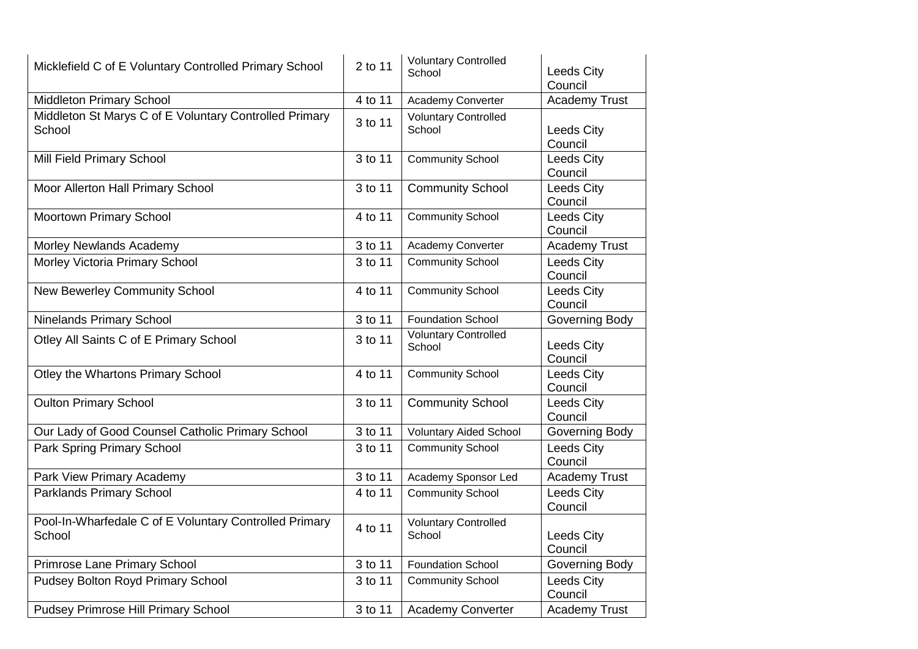| Micklefield C of E Voluntary Controlled Primary School           | 2 to 11 | <b>Voluntary Controlled</b><br>School | Leeds City<br>Council        |
|------------------------------------------------------------------|---------|---------------------------------------|------------------------------|
| <b>Middleton Primary School</b>                                  | 4 to 11 | Academy Converter                     | <b>Academy Trust</b>         |
| Middleton St Marys C of E Voluntary Controlled Primary<br>School | 3 to 11 | <b>Voluntary Controlled</b><br>School | <b>Leeds City</b><br>Council |
| Mill Field Primary School                                        | 3 to 11 | <b>Community School</b>               | Leeds City<br>Council        |
| Moor Allerton Hall Primary School                                | 3 to 11 | <b>Community School</b>               | Leeds City<br>Council        |
| Moortown Primary School                                          | 4 to 11 | <b>Community School</b>               | Leeds City<br>Council        |
| Morley Newlands Academy                                          | 3 to 11 | Academy Converter                     | <b>Academy Trust</b>         |
| Morley Victoria Primary School                                   | 3 to 11 | <b>Community School</b>               | Leeds City<br>Council        |
| <b>New Bewerley Community School</b>                             | 4 to 11 | <b>Community School</b>               | Leeds City<br>Council        |
| <b>Ninelands Primary School</b>                                  | 3 to 11 | <b>Foundation School</b>              | Governing Body               |
| Otley All Saints C of E Primary School                           | 3 to 11 | <b>Voluntary Controlled</b><br>School | <b>Leeds City</b><br>Council |
| Otley the Whartons Primary School                                | 4 to 11 | <b>Community School</b>               | Leeds City<br>Council        |
| <b>Oulton Primary School</b>                                     | 3 to 11 | <b>Community School</b>               | Leeds City<br>Council        |
| Our Lady of Good Counsel Catholic Primary School                 | 3 to 11 | <b>Voluntary Aided School</b>         | Governing Body               |
| Park Spring Primary School                                       | 3 to 11 | <b>Community School</b>               | Leeds City<br>Council        |
| Park View Primary Academy                                        | 3 to 11 | Academy Sponsor Led                   | <b>Academy Trust</b>         |
| <b>Parklands Primary School</b>                                  | 4 to 11 | <b>Community School</b>               | Leeds City<br>Council        |
| Pool-In-Wharfedale C of E Voluntary Controlled Primary<br>School | 4 to 11 | <b>Voluntary Controlled</b><br>School | <b>Leeds City</b><br>Council |
| <b>Primrose Lane Primary School</b>                              | 3 to 11 | <b>Foundation School</b>              | Governing Body               |
| Pudsey Bolton Royd Primary School                                | 3 to 11 | <b>Community School</b>               | <b>Leeds City</b><br>Council |
| Pudsey Primrose Hill Primary School                              | 3 to 11 | Academy Converter                     | <b>Academy Trust</b>         |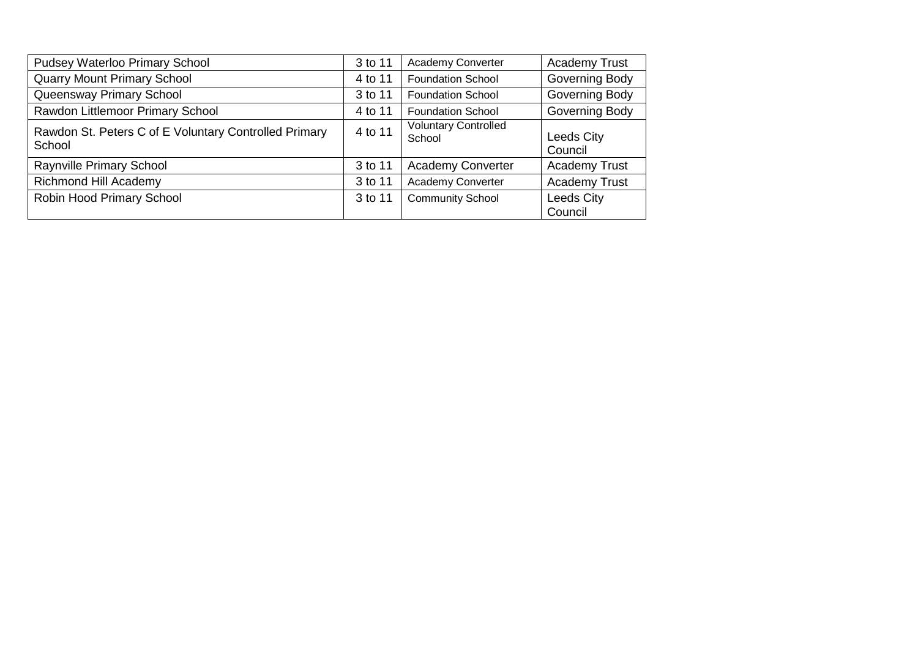| Pudsey Waterloo Primary School                                  | 3 to 11 | Academy Converter                     | <b>Academy Trust</b>         |
|-----------------------------------------------------------------|---------|---------------------------------------|------------------------------|
| <b>Quarry Mount Primary School</b>                              | 4 to 11 | <b>Foundation School</b>              | Governing Body               |
| Queensway Primary School                                        | 3 to 11 | <b>Foundation School</b>              | Governing Body               |
| Rawdon Littlemoor Primary School                                | 4 to 11 | <b>Foundation School</b>              | Governing Body               |
| Rawdon St. Peters C of E Voluntary Controlled Primary<br>School | 4 to 11 | <b>Voluntary Controlled</b><br>School | <b>Leeds City</b><br>Council |
| Raynville Primary School                                        | 3 to 11 | <b>Academy Converter</b>              | <b>Academy Trust</b>         |
| <b>Richmond Hill Academy</b>                                    | 3 to 11 | <b>Academy Converter</b>              | <b>Academy Trust</b>         |
| Robin Hood Primary School                                       | 3 to 11 | <b>Community School</b>               | <b>Leeds City</b><br>Council |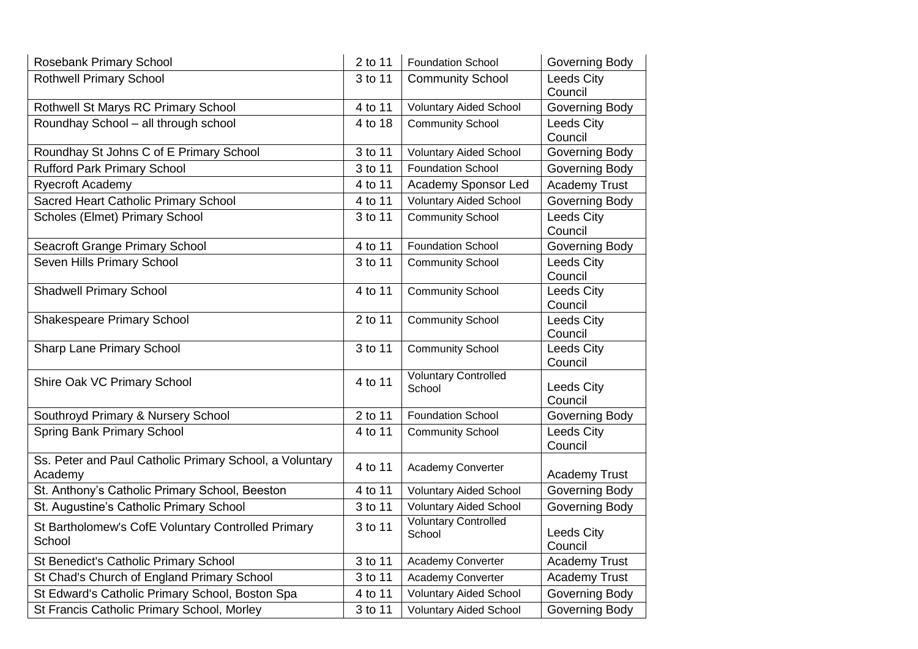| Rosebank Primary School                                            | 2 to 11 | <b>Foundation School</b>              | Governing Body               |
|--------------------------------------------------------------------|---------|---------------------------------------|------------------------------|
| <b>Rothwell Primary School</b>                                     | 3 to 11 | <b>Community School</b>               | Leeds City<br>Council        |
| Rothwell St Marys RC Primary School                                | 4 to 11 | <b>Voluntary Aided School</b>         | <b>Governing Body</b>        |
| Roundhay School - all through school                               | 4 to 18 | <b>Community School</b>               | Leeds City<br>Council        |
| Roundhay St Johns C of E Primary School                            | 3 to 11 | <b>Voluntary Aided School</b>         | Governing Body               |
| <b>Rufford Park Primary School</b>                                 | 3 to 11 | <b>Foundation School</b>              | Governing Body               |
| <b>Ryecroft Academy</b>                                            | 4 to 11 | Academy Sponsor Led                   | <b>Academy Trust</b>         |
| Sacred Heart Catholic Primary School                               | 4 to 11 | <b>Voluntary Aided School</b>         | Governing Body               |
| Scholes (Elmet) Primary School                                     | 3 to 11 | <b>Community School</b>               | Leeds City<br>Council        |
| Seacroft Grange Primary School                                     | 4 to 11 | <b>Foundation School</b>              | Governing Body               |
| Seven Hills Primary School                                         | 3 to 11 | <b>Community School</b>               | Leeds City<br>Council        |
| <b>Shadwell Primary School</b>                                     | 4 to 11 | <b>Community School</b>               | Leeds City<br>Council        |
| <b>Shakespeare Primary School</b>                                  | 2 to 11 | <b>Community School</b>               | <b>Leeds City</b><br>Council |
| <b>Sharp Lane Primary School</b>                                   | 3 to 11 | <b>Community School</b>               | <b>Leeds City</b><br>Council |
| Shire Oak VC Primary School                                        | 4 to 11 | <b>Voluntary Controlled</b><br>School | <b>Leeds City</b><br>Council |
| Southroyd Primary & Nursery School                                 | 2 to 11 | <b>Foundation School</b>              | <b>Governing Body</b>        |
| <b>Spring Bank Primary School</b>                                  | 4 to 11 | <b>Community School</b>               | <b>Leeds City</b><br>Council |
| Ss. Peter and Paul Catholic Primary School, a Voluntary<br>Academy | 4 to 11 | Academy Converter                     | <b>Academy Trust</b>         |
| St. Anthony's Catholic Primary School, Beeston                     | 4 to 11 | <b>Voluntary Aided School</b>         | Governing Body               |
| St. Augustine's Catholic Primary School                            | 3 to 11 | <b>Voluntary Aided School</b>         | Governing Body               |
| St Bartholomew's CofE Voluntary Controlled Primary<br>School       | 3 to 11 | <b>Voluntary Controlled</b><br>School | <b>Leeds City</b><br>Council |
| St Benedict's Catholic Primary School                              | 3 to 11 | Academy Converter                     | <b>Academy Trust</b>         |
| St Chad's Church of England Primary School                         | 3 to 11 | Academy Converter                     | <b>Academy Trust</b>         |
| St Edward's Catholic Primary School, Boston Spa                    | 4 to 11 | <b>Voluntary Aided School</b>         | Governing Body               |
| St Francis Catholic Primary School, Morley                         | 3 to 11 | <b>Voluntary Aided School</b>         | Governing Body               |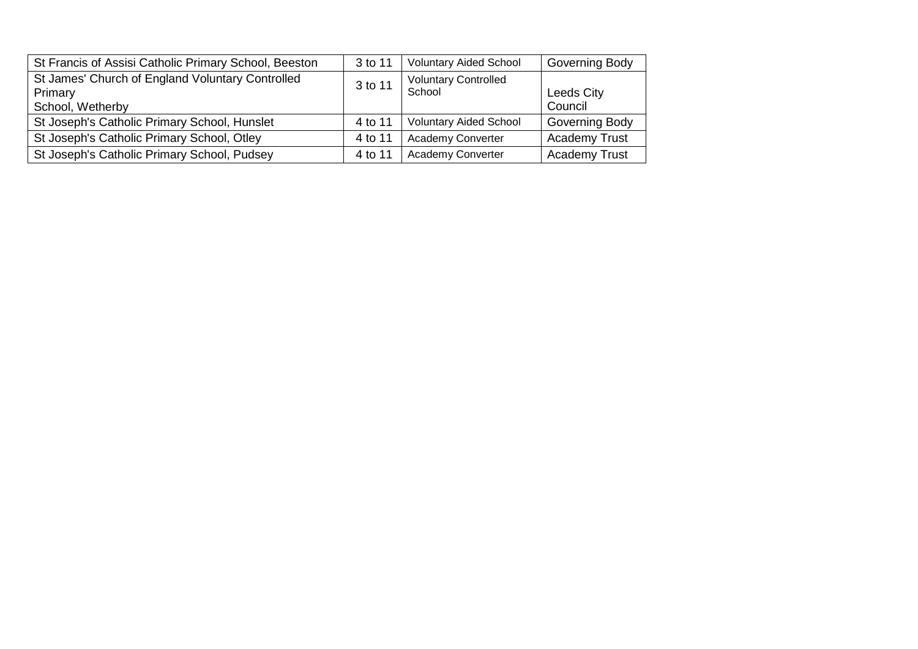| St Francis of Assisi Catholic Primary School, Beeston | 3 to 11 | <b>Voluntary Aided School</b> | <b>Governing Body</b> |
|-------------------------------------------------------|---------|-------------------------------|-----------------------|
| St James' Church of England Voluntary Controlled      | 3 to 11 | <b>Voluntary Controlled</b>   |                       |
| Primary                                               |         | School                        | Leeds City            |
| School, Wetherby                                      |         |                               | Council               |
| St Joseph's Catholic Primary School, Hunslet          | 4 to 11 | <b>Voluntary Aided School</b> | <b>Governing Body</b> |
| St Joseph's Catholic Primary School, Otley            | 4 to 11 | <b>Academy Converter</b>      | <b>Academy Trust</b>  |
| St Joseph's Catholic Primary School, Pudsey           | 4 to 11 | Academy Converter             | <b>Academy Trust</b>  |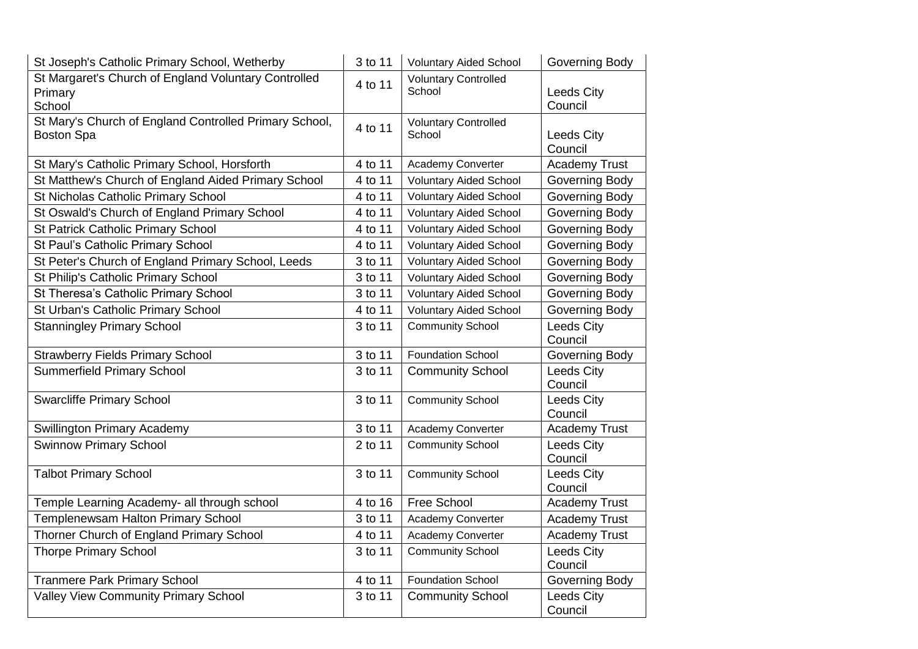| St Joseph's Catholic Primary School, Wetherby                               | 3 to 11 | <b>Voluntary Aided School</b>         | Governing Body               |
|-----------------------------------------------------------------------------|---------|---------------------------------------|------------------------------|
| St Margaret's Church of England Voluntary Controlled<br>Primary<br>School   | 4 to 11 | <b>Voluntary Controlled</b><br>School | <b>Leeds City</b><br>Council |
| St Mary's Church of England Controlled Primary School,<br><b>Boston Spa</b> | 4 to 11 | <b>Voluntary Controlled</b><br>School | <b>Leeds City</b><br>Council |
| St Mary's Catholic Primary School, Horsforth                                | 4 to 11 | Academy Converter                     | <b>Academy Trust</b>         |
| St Matthew's Church of England Aided Primary School                         | 4 to 11 | <b>Voluntary Aided School</b>         | Governing Body               |
| St Nicholas Catholic Primary School                                         | 4 to 11 | <b>Voluntary Aided School</b>         | Governing Body               |
| St Oswald's Church of England Primary School                                | 4 to 11 | <b>Voluntary Aided School</b>         | Governing Body               |
| <b>St Patrick Catholic Primary School</b>                                   | 4 to 11 | <b>Voluntary Aided School</b>         | Governing Body               |
| St Paul's Catholic Primary School                                           | 4 to 11 | <b>Voluntary Aided School</b>         | Governing Body               |
| St Peter's Church of England Primary School, Leeds                          | 3 to 11 | <b>Voluntary Aided School</b>         | Governing Body               |
| St Philip's Catholic Primary School                                         | 3 to 11 | <b>Voluntary Aided School</b>         | Governing Body               |
| St Theresa's Catholic Primary School                                        | 3 to 11 | <b>Voluntary Aided School</b>         | Governing Body               |
| St Urban's Catholic Primary School                                          | 4 to 11 | <b>Voluntary Aided School</b>         | Governing Body               |
| <b>Stanningley Primary School</b>                                           | 3 to 11 | <b>Community School</b>               | Leeds City<br>Council        |
| <b>Strawberry Fields Primary School</b>                                     | 3 to 11 | <b>Foundation School</b>              | Governing Body               |
| <b>Summerfield Primary School</b>                                           | 3 to 11 | <b>Community School</b>               | Leeds City<br>Council        |
| <b>Swarcliffe Primary School</b>                                            | 3 to 11 | <b>Community School</b>               | <b>Leeds City</b><br>Council |
| <b>Swillington Primary Academy</b>                                          | 3 to 11 | Academy Converter                     | <b>Academy Trust</b>         |
| <b>Swinnow Primary School</b>                                               | 2 to 11 | <b>Community School</b>               | Leeds City<br>Council        |
| <b>Talbot Primary School</b>                                                | 3 to 11 | <b>Community School</b>               | <b>Leeds City</b><br>Council |
| Temple Learning Academy- all through school                                 | 4 to 16 | Free School                           | <b>Academy Trust</b>         |
| Templenewsam Halton Primary School                                          | 3 to 11 | Academy Converter                     | <b>Academy Trust</b>         |
| Thorner Church of England Primary School                                    | 4 to 11 | Academy Converter                     | <b>Academy Trust</b>         |
| <b>Thorpe Primary School</b>                                                | 3 to 11 | <b>Community School</b>               | Leeds City<br>Council        |
| <b>Tranmere Park Primary School</b>                                         | 4 to 11 | <b>Foundation School</b>              | Governing Body               |
| <b>Valley View Community Primary School</b>                                 | 3 to 11 | <b>Community School</b>               | Leeds City<br>Council        |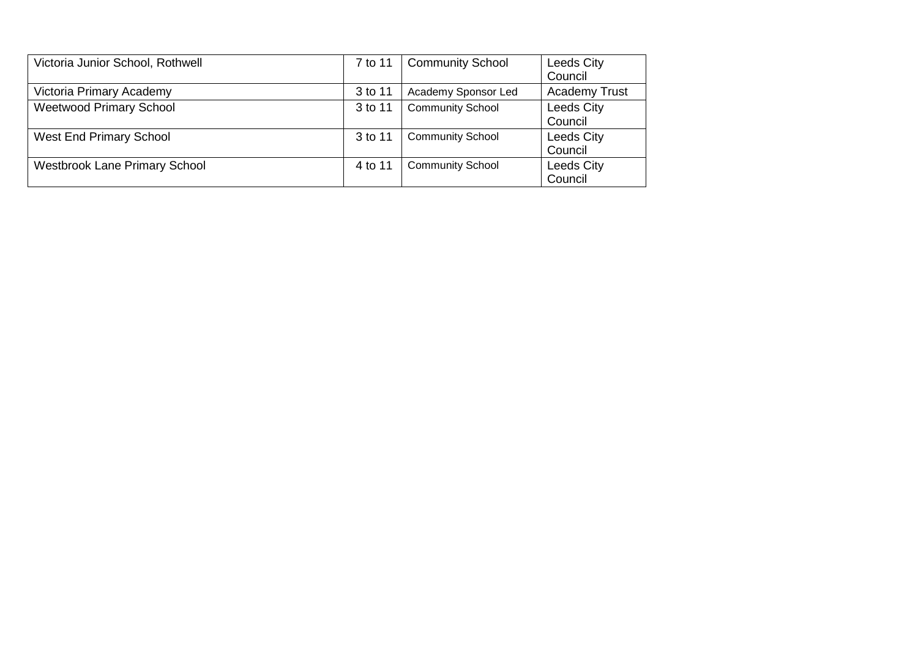| Victoria Junior School, Rothwell     | 7 to 11 | <b>Community School</b> | <b>Leeds City</b><br>Council |
|--------------------------------------|---------|-------------------------|------------------------------|
| Victoria Primary Academy             | 3 to 11 | Academy Sponsor Led     | <b>Academy Trust</b>         |
| <b>Weetwood Primary School</b>       | 3 to 11 | <b>Community School</b> | Leeds City<br>Council        |
| <b>West End Primary School</b>       | 3 to 11 | <b>Community School</b> | <b>Leeds City</b><br>Council |
| <b>Westbrook Lane Primary School</b> | 4 to 11 | <b>Community School</b> | Leeds City<br>Council        |